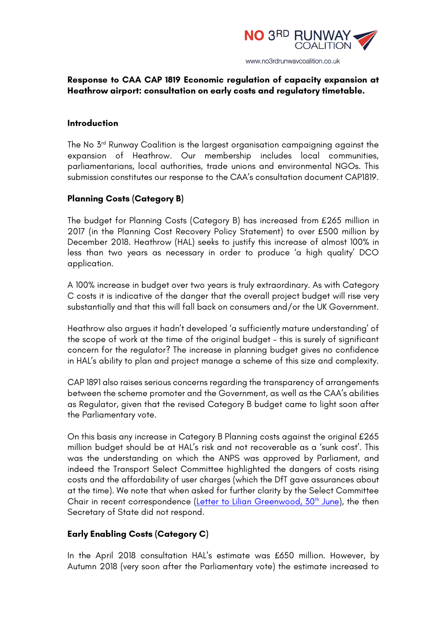

## **Response to CAA CAP 1819 Economic regulation of capacity expansion at Heathrow airport: consultation on early costs and regulatory timetable.**

### **Introduction**

The No 3rd Runway Coalition is the largest organisation campaigning against the expansion of Heathrow. Our membership includes local communities, parliamentarians, local authorities, trade unions and environmental NGOs. This submission constitutes our response to the CAA's consultation document CAP1819.

# **Planning Costs (Category B)**

The budget for Planning Costs (Category B) has increased from £265 million in 2017 (in the Planning Cost Recovery Policy Statement) to over £500 million by December 2018. Heathrow (HAL) seeks to justify this increase of almost 100% in less than two years as necessary in order to produce 'a high quality' DCO application.

A 100% increase in budget over two years is truly extraordinary. As with Category C costs it is indicative of the danger that the overall project budget will rise very substantially and that this will fall back on consumers and/or the UK Government.

Heathrow also argues it hadn't developed 'a sufficiently mature understanding' of the scope of work at the time of the original budget – this is surely of significant concern for the regulator? The increase in planning budget gives no confidence in HAL's ability to plan and project manage a scheme of this size and complexity.

CAP 1891 also raises serious concerns regarding the transparency of arrangements between the scheme promoter and the Government, as well as the CAA's abilities as Regulator, given that the revised Category B budget came to light soon after the Parliamentary vote.

On this basis any increase in Category B Planning costs against the original £265 million budget should be at HAL's risk and not recoverable as a 'sunk cost'. This was the understanding on which the ANPS was approved by Parliament, and indeed the Transport Select Committee highlighted the dangers of costs rising costs and the affordability of user charges (which the DfT gave assurances about at the time). We note that when asked for further clarity by the Select Committee Chair in recent correspondence (Letter to Lilian Greenwood, 30<sup>th</sup> June), the then Secretary of State did not respond.

## **Early Enabling Costs (Category C)**

In the April 2018 consultation HAL's estimate was £650 million. However, by Autumn 2018 (very soon after the Parliamentary vote) the estimate increased to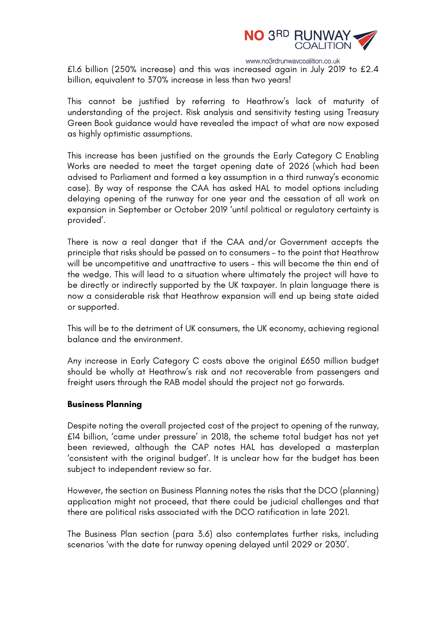

www.no3rdrunwaycoalition.co.uk

£1.6 billion (250% increase) and this was increased again in July 2019 to £2.4 billion, equivalent to 370% increase in less than two years!

This cannot be justified by referring to Heathrow's lack of maturity of understanding of the project. Risk analysis and sensitivity testing using Treasury Green Book guidance would have revealed the impact of what are now exposed as highly optimistic assumptions.

This increase has been justified on the grounds the Early Category C Enabling Works are needed to meet the target opening date of 2026 (which had been advised to Parliament and formed a key assumption in a third runway's economic case). By way of response the CAA has asked HAL to model options including delaying opening of the runway for one year and the cessation of all work on expansion in September or October 2019 'until political or regulatory certainty is provided'.

There is now a real danger that if the CAA and/or Government accepts the principle that risks should be passed on to consumers – to the point that Heathrow will be uncompetitive and unattractive to users – this will become the thin end of the wedge. This will lead to a situation where ultimately the project will have to be directly or indirectly supported by the UK taxpayer. In plain language there is now a considerable risk that Heathrow expansion will end up being state aided or supported.

This will be to the detriment of UK consumers, the UK economy, achieving regional balance and the environment.

Any increase in Early Category C costs above the original £650 million budget should be wholly at Heathrow's risk and not recoverable from passengers and freight users through the RAB model should the project not go forwards.

#### **Business Planning**

Despite noting the overall projected cost of the project to opening of the runway, £14 billion, 'came under pressure' in 2018, the scheme total budget has not yet been reviewed, although the CAP notes HAL has developed a masterplan 'consistent with the original budget'. It is unclear how far the budget has been subject to independent review so far.

However, the section on Business Planning notes the risks that the DCO (planning) application might not proceed, that there could be judicial challenges and that there are political risks associated with the DCO ratification in late 2021.

The Business Plan section (para 3.6) also contemplates further risks, including scenarios 'with the date for runway opening delayed until 2029 or 2030'.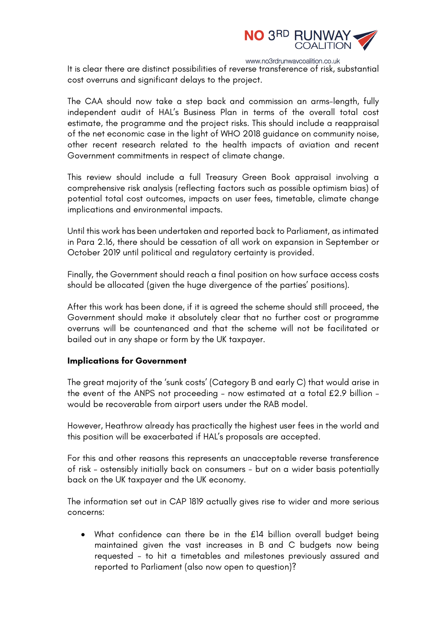

www.no3rdrunwaycoalition.co.uk

It is clear there are distinct possibilities of reverse transference of risk, substantial cost overruns and significant delays to the project.

The CAA should now take a step back and commission an arms-length, fully independent audit of HAL's Business Plan in terms of the overall total cost estimate, the programme and the project risks. This should include a reappraisal of the net economic case in the light of WHO 2018 guidance on community noise, other recent research related to the health impacts of aviation and recent Government commitments in respect of climate change.

This review should include a full Treasury Green Book appraisal involving a comprehensive risk analysis (reflecting factors such as possible optimism bias) of potential total cost outcomes, impacts on user fees, timetable, climate change implications and environmental impacts.

Until this work has been undertaken and reported back to Parliament, as intimated in Para 2.16, there should be cessation of all work on expansion in September or October 2019 until political and regulatory certainty is provided.

Finally, the Government should reach a final position on how surface access costs should be allocated (given the huge divergence of the parties' positions).

After this work has been done, if it is agreed the scheme should still proceed, the Government should make it absolutely clear that no further cost or programme overruns will be countenanced and that the scheme will not be facilitated or bailed out in any shape or form by the UK taxpayer.

#### **Implications for Government**

The great majority of the 'sunk costs' (Category B and early C) that would arise in the event of the ANPS not proceeding – now estimated at a total £2.9 billion – would be recoverable from airport users under the RAB model.

However, Heathrow already has practically the highest user fees in the world and this position will be exacerbated if HAL's proposals are accepted.

For this and other reasons this represents an unacceptable reverse transference of risk – ostensibly initially back on consumers - but on a wider basis potentially back on the UK taxpayer and the UK economy.

The information set out in CAP 1819 actually gives rise to wider and more serious concerns:

• What confidence can there be in the £14 billion overall budget being maintained given the vast increases in B and C budgets now being requested - to hit a timetables and milestones previously assured and reported to Parliament (also now open to question)?